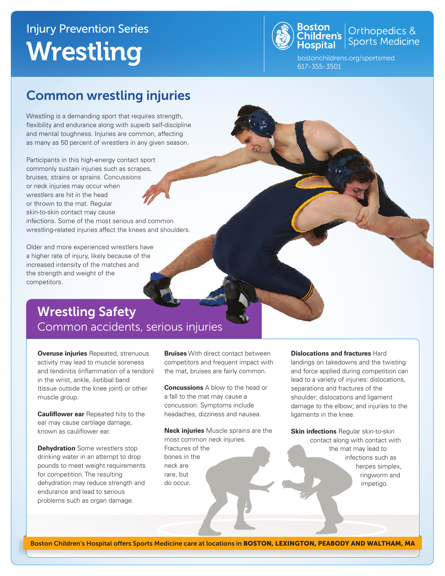# Injury Prevention Series Wrestling



**Boston**<br>Children's **Children's** Sports Medicine

bostonchildrens.org/sportsmed 617-355-3501

### Common wrestling injuries

Wrestling is a demanding sport that requires strength, flexibility and endurance along with superb self-discipline and mental toughness. Injuries are common, affecting as many as 50 percent of wrestlers in any given season.

Participants in this high-energy contact sport commonly sustain injuries such as scrapes, bruises, strains or sprains. Concussions or neck injuries may occur when wrestlers are hit in the head or thrown to the mat. Regular skin-to-skin contact may cause

infections. Some of the most serious and common wrestling-related injuries affect the knees and shoulders.

Older and more experienced wrestlers have a higher rate of injury, likely because of the increased intensity of the matches and the strength and weight of the competitors.

### Wrestling Safety Common accidents, serious injuries

**Overuse injuries** Repeated, strenuous activity may lead to muscle soreness and tendinitis (inflammation of a tendon) in the wrist, ankle, iliotibial band (tissue outside the knee joint) or other muscle group.

**Cauliflower ear** Repeated hits to the ear may cause cartilage damage, known as cauliflower ear.

**Dehydration** Some wrestlers stop drinking water in an attempt to drop pounds to meet weight requirements for competition. The resulting dehydration may reduce strength and endurance and lead to serious problems such as organ damage.

**Bruises** With direct contact between competitors and frequent impact with the mat, bruises are fairly common.

**Concussions** A blow to the head or a fall to the mat may cause a concussion. Symptoms include headaches, dizziness and nausea.

**Neck injuries** Muscle sprains are the most common neck injuries. Fractures of the bones in the neck are rare, but do occur.

#### **Dislocations and fractures** Hard

landings on takedowns and the twisting and force applied during competition can lead to a variety of injuries: dislocations, separations and fractures of the shoulder; dislocations and ligament damage to the elbow; and injuries to the ligaments in the knee.

**Skin infections** Regular skin-to-skin contact along with contact with the mat may lead to infections such as herpes simplex, ringworm and impetigo.

Boston Children's Hospital offers Sports Medicine care at locations in BOSTON, LEXINGTON, PEABODY AND WALTHAM, MA